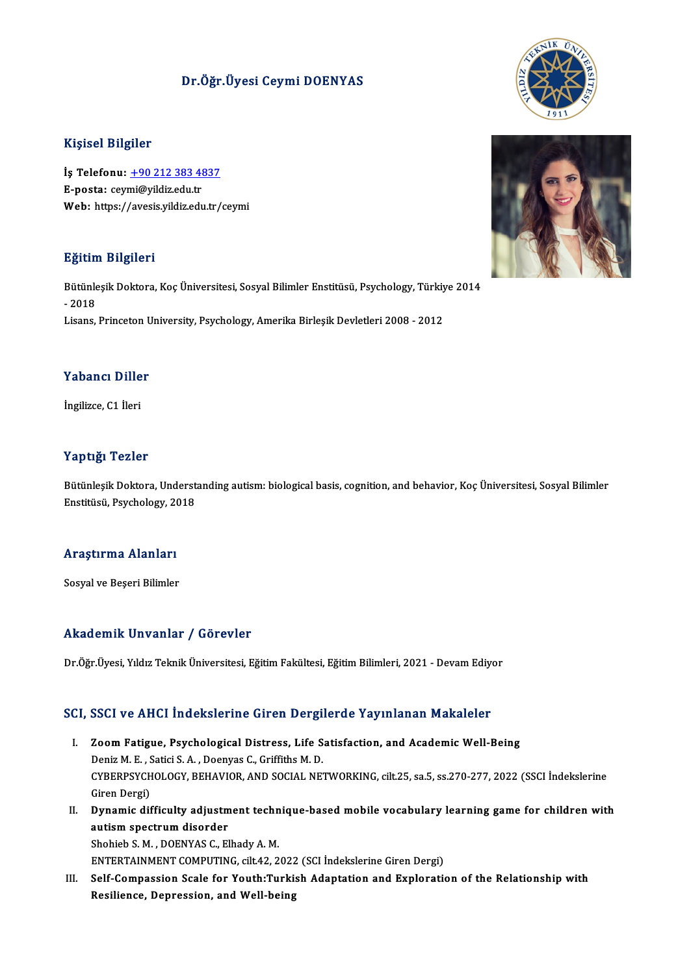### Dr.Öğr.Üyesi Ceymi DOENYAS

#### Kişisel Bilgiler

Kişisel Bilgiler<br>İş Telefonu: <u>+90 212 383 4837</u><br>E nasta: səymi@vildir.odu.tr 11191001 D1191101<br>İş Telefonu: <u>+90 212 383 41</u><br>E-posta: cey[mi@yildiz.edu.tr](tel:+90 212 383 4837) E-posta: ceymi@yildiz.edu.tr<br>Web: https://avesis.yildiz.edu.tr/ceymi

#### Eğitim Bilgileri

**Eğitim Bilgileri**<br>Bütünleşik Doktora, Koç Üniversitesi, Sosyal Bilimler Enstitüsü, Psychology, Türkiye 2014<br>2018 ngrenn<br>Bütünle<br>- 2018<br>Lisans Bütünleşik Doktora, Koç Üniversitesi, Sosyal Bilimler Enstitüsü, Psychology, Türkiy<br>- 2018<br>Lisans, Princeton University, Psychology, Amerika Birleşik Devletleri 2008 - 2012

# .<br>Yabancı Diller Y<mark>abancı Dille</mark><br>İngilizce, C1 İleri

# İngilizce, C1 İleri<br>Yaptığı Tezler

Yaptığı Tezler<br>Bütünleşik Doktora, Understanding autism: biological basis, cognition, and behavior, Koç Üniversitesi, Sosyal Bilimler<br>Enstitüsü, Ravebelegy, 2019 r ap agr rezrer<br>Bütünleşik Doktora, Underst<br>Enstitüsü, Psychology, 2018

# <sub>Ensutusu, Psychology, 20</sub><br>Araştırma Alanları <mark>Araştırma Alanları</mark><br>Sosyal ve Beşeri Bilimler

# Akademik Unvanlar / Görevler

Dr.Öğr.Üyesi, Yıldız Teknik Üniversitesi, Eğitim Fakültesi, Eğitim Bilimleri, 2021 - Devam Ediyor

# Dr.ogr.oyesi, riidiz Teknik oniversitesi, Egitim Fakuitesi, Egitim Bilimleri, 2021 - Devam Ediyi<br>SCI, SSCI ve AHCI İndekslerine Giren Dergilerde Yayınlanan Makaleler

- CI, SSCI ve AHCI İndekslerine Giren Dergilerde Yayınlanan Makaleler<br>I. Zoom Fatigue, Psychological Distress, Life Satisfaction, and Academic Well-Being<br>Ropiz M. E. Satisi S.A. Deepyre C. Criffithe M. D. I. Zoom Fatigue, Psychological Distress, Life Satisfaction, and Academic Well-Being<br>Deniz M. E., Satici S. A., Doenyas C., Griffiths M. D. Zoom Fatigue, Psychological Distress, Life Satisfaction, and Academic Well-Being<br>Deniz M. E. , Satici S. A. , Doenyas C., Griffiths M. D.<br>CYBERPSYCHOLOGY, BEHAVIOR, AND SOCIAL NETWORKING, cilt.25, sa.5, ss.270-277, 2022 (S Deniz M. E. , S<br>CYBERPSYCH<br>Giren Dergi)<br>Dunamic dif CYBERPSYCHOLOGY, BEHAVIOR, AND SOCIAL NETWORKING, cilt.25, sa.5, ss.270-277, 2022 (SSCI İndekslerine<br>Giren Dergi)<br>II. Dynamic difficulty adjustment technique-based mobile vocabulary learning game for children with<br>aution s
- Giren Dergi)<br>Dynamic difficulty adjustment techn<br>autism spectrum disorder<br>Shohieb S. M. , DOENYAS C., Elhady A. M. II. Dynamic difficulty adjustment technique-based mobile vocabulary learning game for children with

ENTERTAINMENT COMPUTING, cilt.42, 2022 (SCI İndekslerine Giren Dergi)

Shohieb S. M. , DOENYAS C., Elhady A. M.<br>ENTERTAINMENT COMPUTING, cilt.42, 2022 (SCI İndekslerine Giren Dergi)<br>III. Self-Compassion Scale for Youth:Turkish Adaptation and Exploration of the Relationship with<br>Pesilionee Dep ENTERTAINMENT COMPUTING, cilt.42, 2022<br>Self-Compassion Scale for Youth:Turki:<br>Resilience, Depression, and Well-being



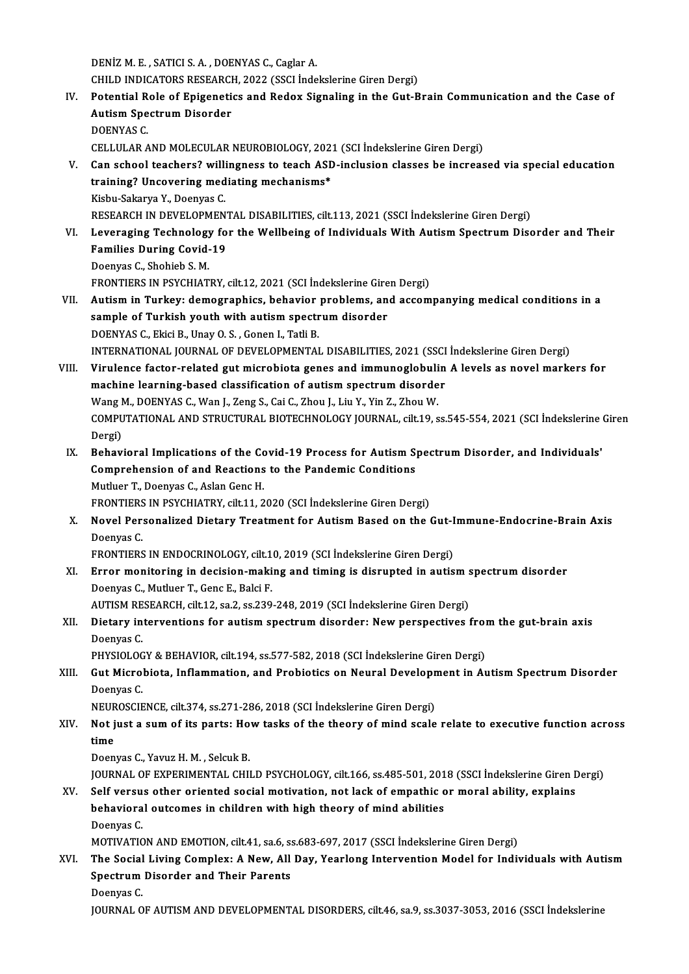DENIZM.E., SATICI S.A., DOENYAS C., Caglar A.

DENİZ M. E. , SATICI S. A. , DOENYAS C., Caglar A.<br>CHILD INDICATORS RESEARCH, 2022 (SSCI İndekslerine Giren Dergi)<br>Petential Pela of Enisenetias and Peday Sispelins in the Cut P

DENİZ M. E. , SATICI S. A. , DOENYAS C., Caglar A.<br>CHILD INDICATORS RESEARCH, 2022 (SSCI İndekslerine Giren Dergi)<br>IV. Potential Role of Epigenetics and Redox Signaling in the Gut-Brain Communication and the Case of CHILD INDICATORS RESEARCI<br>Potential Role of Epigeneti<br>Autism Spectrum Disorder<br>DOENVAS C Potential R<br>Autism Spe<br>DOENYAS C.<br>CELLIU AP A Autism Spectrum Disorder<br>DOENYAS C.<br>CELLULAR AND MOLECULAR NEUROBIOLOGY, 2021 (SCI İndekslerine Giren Dergi)<br>Can sebacl tasebars? willingness ta taseb ASD inclusion slasses be insteas

- DOENYAS C.<br>CELLULAR AND MOLECULAR NEUROBIOLOGY, 2021 (SCI İndekslerine Giren Dergi)<br>V. Can school teachers? willingness to teach ASD-inclusion classes be increased via special education<br>training? Uncovering modiating macha CELLULAR AND MOLECULAR NEUROBIOLOGY, 202<br>Can school teachers? willingness to teach ASD<br>training? Uncovering mediating mechanisms\* Can school teachers? willi<br>training? Uncovering med<br>Kisbu-Sakarya Y., Doenyas C.<br>PESEAPCH IN DEVELOPMEN training? Uncovering mediating mechanisms\*<br>Kisbu-Sakarya Y., Doenyas C.<br>RESEARCH IN DEVELOPMENTAL DISABILITIES, cilt.113, 2021 (SSCI İndekslerine Giren Dergi)<br>Lavaraging Technology for the Wallheing of Individuals With Aut Kisbu-Sakarya Y., Doenyas C.<br>RESEARCH IN DEVELOPMENTAL DISABILITIES, cilt.113, 2021 (SSCI İndekslerine Giren Dergi)<br>VI. Leveraging Technology for the Wellbeing of Individuals With Autism Spectrum Disorder and Their<br>Fami
- RESEARCH IN DEVELOPMENT<br>Leveraging Technology fo<br>Families During Covid-19<br>Deenves C. Shebieb S. M Leveraging Technology<br>Families During Covid-<br>Doenyas C., Shohieb S. M.<br>EPONTIEDS IN PSYCHIAT Families During Covid-19<br>Doenyas C., Shohieb S. M.<br>FRONTIERS IN PSYCHIATRY, cilt.12, 2021 (SCI İndekslerine Giren Dergi)<br>Autiam in Turkew demographics, behaviar problems, and assem Doenyas C., Shohieb S. M.<br>FRONTIERS IN PSYCHIATRY, cilt.12, 2021 (SCI İndekslerine Giren Dergi)<br>VII. Autism in Turkey: demographics, behavior problems, and accompanying medical conditions in a<br>sample of Turkish youth w
- FRONTIERS IN PSYCHIATRY, cilt.12, 2021 (SCI İndekslerine Gire<br>Autism in Turkey: demographics, behavior problems, an<br>sample of Turkish youth with autism spectrum disorder<br>DOENVAS C. Flisi P. Unav O. S. Gonon L. Tati P. Autism in Turkey: demographics, behavior<br>sample of Turkish youth with autism spectr<br>DOENYAS C., Ekici B., Unay O. S. , Gonen I., Tatli B.<br>INTERNATIONAL JOURNAL OF DEVELOPMENTAL sample of Turkish youth with autism spectrum disorder<br>DOENYAS C., Ekici B., Unay O. S. , Gonen I., Tatli B.<br>INTERNATIONAL JOURNAL OF DEVELOPMENTAL DISABILITIES, 2021 (SSCI İndekslerine Giren Dergi) DOENYAS C., Ekici B., Unay O. S. , Gonen I., Tatli B.<br>INTERNATIONAL JOURNAL OF DEVELOPMENTAL DISABILITIES, 2021 (SSCI İndekslerine Giren Dergi)<br>VIII. Virulence factor-related gut microbiota genes and immunoglobulin A level
- INTERNATIONAL JOURNAL OF DEVELOPMENTAL DISABILITIES, 2021 (SSCI<br>Virulence factor-related gut microbiota genes and immunoglobulin<br>machine learning-based classification of autism spectrum disorder<br>Wang M. DOENVAS C. Wan L. Z Virulence factor-related gut microbiota genes and immunoglobuli<br>machine learning-based classification of autism spectrum disorde<br>Wang M., DOENYAS C., Wan J., Zeng S., Cai C., Zhou J., Liu Y., Yin Z., Zhou W.<br>COMPUTATIONAL machine learning-based classification of autism spectrum disorder<br>Wang M., DOENYAS C., Wan J., Zeng S., Cai C., Zhou J., Liu Y., Yin Z., Zhou W.<br>COMPUTATIONAL AND STRUCTURAL BIOTECHNOLOGY JOURNAL, cilt.19, ss.545-554, 2021 Wang M., DOENYAS C., Wan J., Zeng S., Cai C., Zhou J., Liu Y., Yin Z., Zhou W. COMPUTATIONAL AND STRUCTURAL BIOTECHNOLOGY JOURNAL, cilt.19, ss.545-554, 2021 (SCI indekslerine<br>Dergi)<br>IX. Behavioral Implications of the Covid-19 Process for Autism Spectrum Disorder, and Individuals'<br>Comprehension of and
- Dergi)<br>Behavioral Implications of the Covid-19 Process for Autism S<sub>|</sub><br>Comprehension of and Reactions to the Pandemic Conditions<br>Muther T. Deenves C. Askn Cons H Behavioral Implications of the Conditions Comprehension of and Reactions<br>Mutluer T., Doenyas C., Aslan Genc H.<br>EPONTIERS IN REVCHIATRY sitt 11-2 Comprehension of and Reactions to the Pandemic Conditions<br>Mutluer T., Doenyas C., Aslan Genc H.<br>FRONTIERS IN PSYCHIATRY, cilt.11, 2020 (SCI İndekslerine Giren Dergi)<br>Nevel Personalized Distany Treatment for Autiem Besed on Mutluer T., Doenyas C., Aslan Genc H.<br>FRONTIERS IN PSYCHIATRY, cilt.11, 2020 (SCI İndekslerine Giren Dergi)<br>X. Novel Personalized Dietary Treatment for Autism Based on the Gut-Immune-Endocrine-Brain Axis<br>Deenyes C
- FRONTIERS<br>Novel Per:<br>Doenyas C.<br>ERONTIERS Novel Personalized Dietary Treatment for Autism Based on the Gut-I<br>Doenyas C.<br>FRONTIERS IN ENDOCRINOLOGY, cilt.10, 2019 (SCI İndekslerine Giren Dergi)<br>Frrer menitering in desision meking and timing is disrupted in autis

FRONTIERS IN ENDOCRINOLOGY, cilt.10, 2019 (SCI İndekslerine Giren Dergi)

Doenyas C.<br>FRONTIERS IN ENDOCRINOLOGY, cilt.10, 2019 (SCI İndekslerine Giren Dergi)<br>XI. Error monitoring in decision-making and timing is disrupted in autism spectrum disorder<br>Doenyas C., Mutluer T., Genc E., Balci F. Error monitoring in decision-making and timing is disrupted in autism s<br>Doenyas C., Mutluer T., Genc E., Balci F.<br>AUTISM RESEARCH, cilt.12, sa.2, ss.239-248, 2019 (SCI İndekslerine Giren Dergi)<br>Distany interventions for au

Doenyas C., Mutluer T., Genc E., Balci F.<br>AUTISM RESEARCH, cilt.12, sa.2, ss.239-248, 2019 (SCI İndekslerine Giren Dergi)<br>XII. Dietary interventions for autism spectrum disorder: New perspectives from the gut-brain axi AUTISM RE<br><mark>Dietary in</mark><br>Doenyas C.<br>PHYSIOLOC Dietary interventions for autism spectrum disorder: New perspectives from<br>Doenyas C.<br>PHYSIOLOGY & BEHAVIOR, cilt.194, ss.577-582, 2018 (SCI İndekslerine Giren Dergi)<br>Cut Mispobiata, Inflammation, and Probiatiss on Nouvel D

Doenyas C.<br>PHYSIOLOGY & BEHAVIOR, cilt.194, ss.577-582, 2018 (SCI İndekslerine Giren Dergi)<br>XIII. Gut Microbiota, Inflammation, and Probiotics on Neural Development in Autism Spectrum Disorder<br>Deepyse C PHYSIOLOGY & BEHAVIOR, cilt.194, ss.577-582, 2018 (SCI Indekslerine Giren Dergi)<br>Gut Microbiota, Inflammation, and Probiotics on Neural Development in Au<br>Doenyas C. Gut Microbiota, Inflammation, and Probiotics on Neural Developm<br>Doenyas C.<br>NEUROSCIENCE, cilt.374, ss.271-286, 2018 (SCI İndekslerine Giren Dergi)<br>Net just a sum of its partsı How tasks of the theory of mind ssale

## Doenyas C.<br>NEUROSCIENCE, cilt.374, ss.271-286, 2018 (SCI İndekslerine Giren Dergi)<br>XIV. Not just a sum of its parts: How tasks of the theory of mind scale relate to executive function across<br>time NEUROSCIENCE, cilt.374, ss.271-286, 2018 (SCI İndekslerine Giren Dergi)<br>Not just a sum of its parts: How tasks of the theory of mind scale<br>time<br>Doenyas C., Yavuz H. M., Selcuk B. Not just a sum of its parts: Ho<br>time<br>Doenyas C., Yavuz H. M. , Selcuk B.<br>JOUPNAL OF EXPEPIMENTAL CHU time<br>Doenyas C., Yavuz H. M. , Selcuk B.<br>JOURNAL OF EXPERIMENTAL CHILD PSYCHOLOGY, cilt.166, ss.485-501, 2018 (SSCI İndekslerine Giren Dergi)<br>Self yaraya athar oriented sacial matiyation, not lask of amnathis ar maral abil

## Doenyas C., Yavuz H. M. , Selcuk B.<br>JOURNAL OF EXPERIMENTAL CHILD PSYCHOLOGY, cilt.166, ss.485-501, 2018 (SSCI İndekslerine Giren I<br>XV. Self versus other oriented social motivation, not lack of empathic or moral ability, e JOURNAL OF EXPERIMENTAL CHILD PSYCHOLOGY, cilt.166, ss.485-501, 201<br>Self versus other oriented social motivation, not lack of empathic c<br>behavioral outcomes in children with high theory of mind abilities<br>Deenves C Self versu<br>behaviora<br>Doenyas C.<br>MOTWATIC behavioral outcomes in children with high theory of mind abilities<br>Doenyas C.<br>MOTIVATION AND EMOTION, cilt.41, sa.6, ss.683-697, 2017 (SSCI İndekslerine Giren Dergi)

## Doenyas C.<br>MOTIVATION AND EMOTION, cilt.41, sa.6, ss.683-697, 2017 (SSCI İndekslerine Giren Dergi)<br>XVI. The Social Living Complex: A New, All Day, Yearlong Intervention Model for Individuals with Autism MOTIVATION AND EMOTION, cilt.41, sa.6, s:<br>The Social Living Complex: A New, All<br>Spectrum Disorder and Their Parents<br>Deenves C The Social<br>Spectrum<br>Doenyas C.<br>JOUPNAL O Spectrum Disorder and Their Parents<br>Doenyas C.<br>JOURNAL OF AUTISM AND DEVELOPMENTAL DISORDERS, cilt.46, sa.9, ss.3037-3053, 2016 (SSCI İndekslerine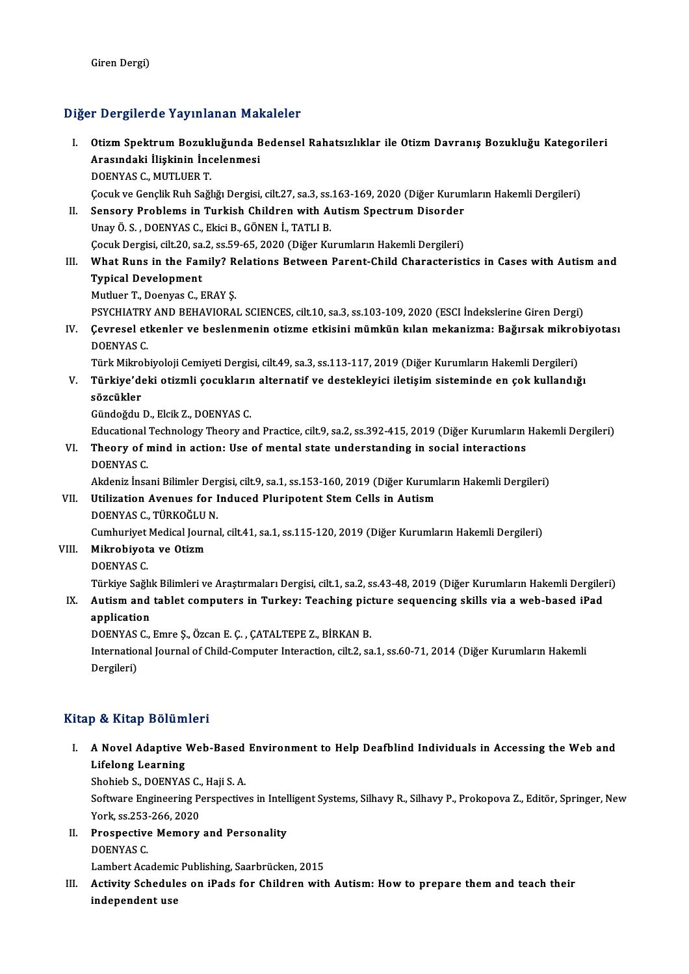#### Diğer Dergilerde Yayınlanan Makaleler

- iğer Dergilerde Yayınlanan Makaleler<br>I. Otizm Spektrum Bozukluğunda Bedensel Rahatsızlıklar ile Otizm Davranış Bozukluğu Kategorileri<br>Arasındaki İliskinin İnsalanmasi A Borgirorus Yuyamunan Mur<br>Otizm Spektrum Bozukluğunda B<br>Arasındaki İlişkinin İncelenmesi<br>DOENVAS G. MUTUER T Otizm Spektrum Bozukl<br>Arasındaki İlişkinin İnc<br>DOENYAS C., MUTLUER T.<br>Cosuk ve Conslik Bub Soğl Arasındaki İlişkinin İncelenmesi<br>DOENYAS C., MUTLUER T.<br>Çocuk ve Gençlik Ruh Sağlığı Dergisi, cilt.27, sa.3, ss.163-169, 2020 (Diğer Kurumların Hakemli Dergileri)<br>Sansary Brahlams in Turkish Childran with Autism Spestrum D DOENYAS C., MUTLUER T.<br>Cocuk ve Gençlik Ruh Sağlığı Dergisi, cilt.27, sa.3, ss.163-169, 2020 (Diğer Kurun<br>II. Sensory Problems in Turkish Children with Autism Spectrum Disorder<br>Unav Ö. S., DOENYAS G. Eldsi B. CÖNEN İ. TATI Cocuk ve Gençlik Ruh Sağlığı Dergisi, cilt.27, sa.3, ss.<br>Sensory Problems in Turkish Children with Atlanay Ö. S. , DOENYAS C., Ekici B., GÖNEN İ., TATLI B.<br>Cosuk Dergisi, silt 20, sa.2, ss.50, 65, 2020 (Diğer Ku Sensory Problems in Turkish Children with Autism Spectrum Disorder<br>Unay Ö. S. , DOENYAS C., Ekici B., GÖNEN İ., TATLI B.<br>Çocuk Dergisi, cilt.20, sa.2, ss.59-65, 2020 (Diğer Kurumların Hakemli Dergileri)<br>What Buns in the Fe
- Unay Ö. S. , DOENYAS C., Ekici B., GÖNEN İ., TATLI B.<br>Cocuk Dergisi, cilt.20, sa.2, ss.59-65, 2020 (Diğer Kurumların Hakemli Dergileri)<br>III. What Runs in the Family? Relations Between Parent-Child Characteristics in Ca Cocuk Dergisi, cilt.20, sa.<br>What Runs in the Fan<br>Typical Development<br>Muther T. Deenwe C. L What Runs in the Family? R<br>Typical Development<br>Mutluer T., Doenyas C., ERAY Ş.<br>RSYCHIATRY AND REHAVIORA. Typical Development<br>Mutluer T., Doenyas C., ERAY Ș.<br>PSYCHIATRY AND BEHAVIORAL SCIENCES, cilt.10, sa.3, ss.103-109, 2020 (ESCI İndekslerine Giren Dergi)<br>Ceyrasel atkaplar ve baslanmanin atisme atkişini mümkün kılan makanism
	-
- Mutluer T., Doenyas C., ERAY Ş.<br>PSYCHIATRY AND BEHAVIORAL SCIENCES, cilt.10, sa.3, ss.103-109, 2020 (ESCI İndekslerine Giren Dergi)<br>IV. Çevresel etkenler ve beslenmenin otizme etkisini mümkün kılan mekanizma: Bağırsak PSYCHIATRY<br>Cevresel et<br>DOENYAS C.<br>Türk Milmeb Çevresel etkenler ve beslenmenin otizme etkisini mümkün kılan mekanizma: Bağırsak mikrol<br>DOENYAS C.<br>Türk Mikrobiyoloji Cemiyeti Dergisi, cilt.49, sa.3, ss.113-117, 2019 (Diğer Kurumların Hakemli Dergileri)<br>Türkiye'deki eti

DOENYAS C.<br>Türk Mikrobiyoloji Cemiyeti Dergisi, cilt.49, sa.3, ss.113-117, 2019 (Diğer Kurumların Hakemli Dergileri)<br>V. Türkiye'deki otizmli çocukların alternatif ve destekleyici iletişim sisteminde en çok kullandığı<br>G Türk Mikro<br><mark>Türkiye'de</mark><br>sözcükler<br>Gürdeğdu Türkiye'deki otizmli çocuklarır<br>sözcükler<br>Gündoğdu D., Elcik Z., DOENYAS C.<br>Educational Technology Theory an

**sözcükler**<br>Gündoğdu D., Elcik Z., DOENYAS C.<br>Educational Technology Theory and Practice, cilt.9, sa.2, ss.392-415, 2019 (Diğer Kurumların Hakemli Dergileri)

Gündoğdu D., Elcik Z., DOENYAS C.<br>Educational Technology Theory and Practice, cilt.9, sa.2, ss.392-415, 2019 (Diğer Kurumların<br>VI. Theory of mind in action: Use of mental state understanding in social interactions<br>DOEN Educational<br>Theory of r<br>DOENYAS C.<br>Akdoniz hes Theory of mind in action: Use of mental state understanding in social interactions<br>DOENYAS C.<br>Akdeniz İnsani Bilimler Dergisi, cilt.9, sa.1, ss.153-160, 2019 (Diğer Kurumların Hakemli Dergileri)<br>Htiligation Avenues for Ind

# DOENYAS C.<br>Akdeniz İnsani Bilimler Dergisi, cilt.9, sa.1, ss.153-160, 2019 (Diğer Kurun<br>VII. Utilization Avenues for Induced Pluripotent Stem Cells in Autism<br>DOENYAS C.. TÜRKOĞLU N. Akdeniz İnsani Bilimler Der<br>Utilization Avenues for I<br>DOENYAS C., TÜRKOĞLU N.<br>Cumburiyat Madisəl Iourna Utilization Avenues for Induced Pluripotent Stem Cells in Autism<br>DOENYAS C., TÜRKOĞLU N.<br>Cumhuriyet Medical Journal, cilt.41, sa.1, ss.115-120, 2019 (Diğer Kurumların Hakemli Dergileri)<br>Mikrobiyeta ve Otism

- 
- VIII. Mikrobiyota ve Otizm<br>DOENYAS C. Cumhuriyet<br>Mi<mark>krobiyot</mark><br>DOENYAS C.<br>Türkiye Seğl

Türkiye Sağlık Bilimleri ve Araştırmaları Dergisi, cilt.1, sa.2, ss.43-48, 2019 (Diğer Kurumların Hakemli Dergileri)

# DOENYAS C.<br>Türkiye Sağlık Bilimleri ve Araştırmaları Dergisi, cilt.1, sa.2, ss.43-48, 2019 (Diğer Kurumların Hakemli Dergile<br>IX. Autism and tablet computers in Turkey: Teaching picture sequencing skills via a web-based Türkiye Sağlıl<br>**Autism and<br>application** Autism and tablet computers in Turkey: Teaching pict<br>application<br>DOENYAS C., Emre Ş., Özcan E. Ç. , ÇATALTEPE Z., BİRKAN B.<br>International Journal of Child Computer Interaction, silt 2, 23

application<br>DOENYAS C., Emre Ş., Özcan E. Ç. , ÇATALTEPE Z., BİRKAN B.<br>International Journal of Child-Computer Interaction, cilt.2, sa.1, ss.60-71, 2014 (Diğer Kurumların Hakemli<br>Dergileri) DOENYAS<br>Internatio:<br>Dergileri)

#### Kitap & Kitap Bölümleri

Itap & Kitap Bölümleri<br>I. A Novel Adaptive Web-Based Environment to Help Deafblind Individuals in Accessing the Web and<br>Lifeleng Learning Lifelong Learning<br>A Novel Adaptive<br>Lifelong Learning<br>Shebich S. DOENVAS A Novel Adaptive Web-Based<br>Lifelong Learning<br>Shohieb S., DOENYAS C., Haji S. A.<br>Seftuare Engineering Perspective Lifelong Learning<br>Shohieb S., DOENYAS C., Haji S. A.<br>Software Engineering Perspectives in Intelligent Systems, Silhavy R., Silhavy P., Prokopova Z., Editör, Springer, New

Shohieb S., DOENYAS C.,<br>Software Engineering P<br>York, ss.253-266, 2020<br>Prospective Memory

II. Prospective Memory and Personality<br>DOENYAS C. York, ss.253<br>Prospective<br>DOENYAS C.<br>Lambert Ass

Lambert Academic Publishing, Saarbrücken, 2015

DOENYAS C.<br>Lambert Academic Publishing, Saarbrücken, 2015<br>III. Activity Schedules on iPads for Children with Autism: How to prepare them and teach their<br>independent use Lambert Academic<br><mark>Activity Schedul</mark><br>independent use